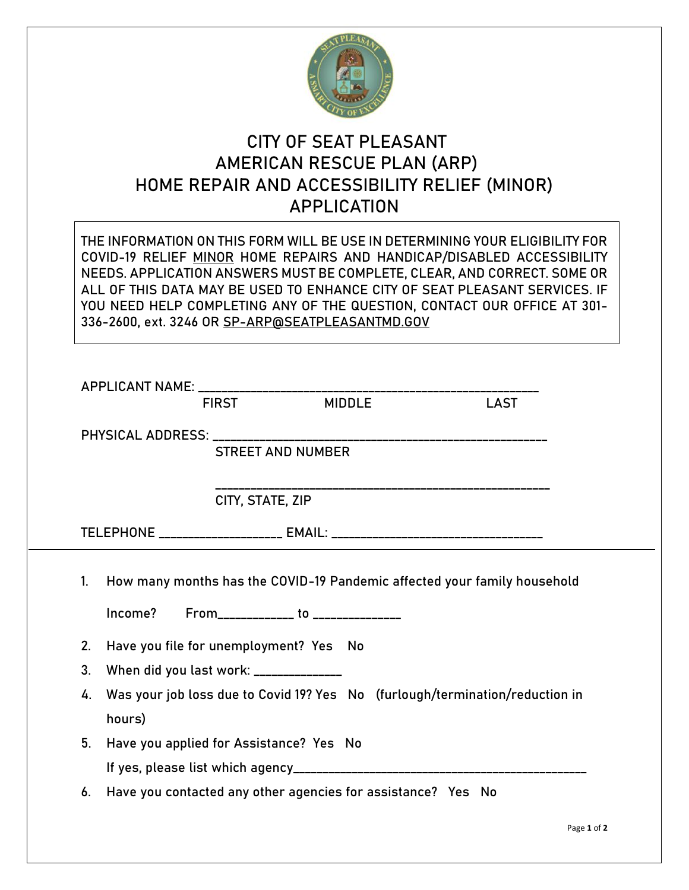

## **CITY OF SEAT PLEASANT AMERICAN RESCUE PLAN (ARP) HOME REPAIR AND ACCESSIBILITY RELIEF (MINOR) APPLICATION**

|                                                                                                                |                                         | 336-2600, ext. 3246 OR SP-ARP@SEATPLEASANTMD.GOV             | THE INFORMATION ON THIS FORM WILL BE USE IN DETERMINING YOUR ELIGIBILITY FOR<br>COVID-19 RELIEF MINOR HOME REPAIRS AND HANDICAP/DISABLED ACCESSIBILITY<br>NEEDS. APPLICATION ANSWERS MUST BE COMPLETE, CLEAR, AND CORRECT. SOME OR<br>ALL OF THIS DATA MAY BE USED TO ENHANCE CITY OF SEAT PLEASANT SERVICES. IF<br>YOU NEED HELP COMPLETING ANY OF THE QUESTION, CONTACT OUR OFFICE AT 301- |  |
|----------------------------------------------------------------------------------------------------------------|-----------------------------------------|--------------------------------------------------------------|----------------------------------------------------------------------------------------------------------------------------------------------------------------------------------------------------------------------------------------------------------------------------------------------------------------------------------------------------------------------------------------------|--|
|                                                                                                                |                                         |                                                              |                                                                                                                                                                                                                                                                                                                                                                                              |  |
|                                                                                                                |                                         |                                                              | <b>LAST</b>                                                                                                                                                                                                                                                                                                                                                                                  |  |
| PHYSICAL ADDRESS: North and the set of the set of the set of the set of the set of the set of the set of the s |                                         |                                                              | __________________________________                                                                                                                                                                                                                                                                                                                                                           |  |
|                                                                                                                |                                         | <b>STREET AND NUMBER</b>                                     |                                                                                                                                                                                                                                                                                                                                                                                              |  |
|                                                                                                                | CITY, STATE, ZIP                        |                                                              |                                                                                                                                                                                                                                                                                                                                                                                              |  |
|                                                                                                                |                                         |                                                              |                                                                                                                                                                                                                                                                                                                                                                                              |  |
| $1_{-}$                                                                                                        |                                         | Income? From_____________ to ______________                  | How many months has the COVID-19 Pandemic affected your family household                                                                                                                                                                                                                                                                                                                     |  |
| 2. Have you file for unemployment? Yes No                                                                      |                                         |                                                              |                                                                                                                                                                                                                                                                                                                                                                                              |  |
| 3 <sub>1</sub>                                                                                                 | When did you last work: ______________  |                                                              |                                                                                                                                                                                                                                                                                                                                                                                              |  |
| 4.<br>hours)                                                                                                   |                                         |                                                              | Was your job loss due to Covid 19? Yes No (furlough/termination/reduction in                                                                                                                                                                                                                                                                                                                 |  |
| 5.                                                                                                             | Have you applied for Assistance? Yes No |                                                              |                                                                                                                                                                                                                                                                                                                                                                                              |  |
|                                                                                                                |                                         |                                                              |                                                                                                                                                                                                                                                                                                                                                                                              |  |
| 6.                                                                                                             |                                         | Have you contacted any other agencies for assistance? Yes No |                                                                                                                                                                                                                                                                                                                                                                                              |  |